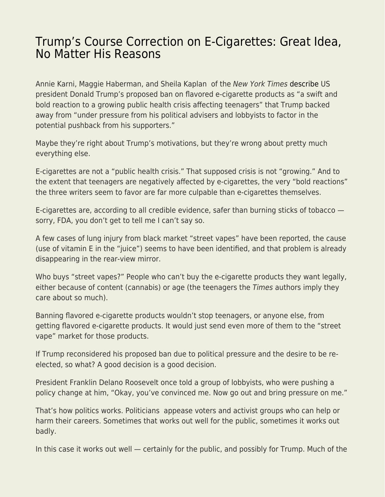## [Trump's Course Correction on E-Cigarettes: Great Idea,](https://everything-voluntary.com/trumps-course-correction-on-e-cigarettes-great-idea-no-matter-his-reasons) [No Matter His Reasons](https://everything-voluntary.com/trumps-course-correction-on-e-cigarettes-great-idea-no-matter-his-reasons)

Annie Karni, Maggie Haberman, and Sheila Kaplan of the New York Times [describe](https://www.nytimes.com/2019/11/17/health/trump-vaping-ban.html) US president Donald Trump's proposed ban on flavored e-cigarette products as "a swift and bold reaction to a growing public health crisis affecting teenagers" that Trump backed away from "under pressure from his political advisers and lobbyists to factor in the potential pushback from his supporters."

Maybe they're right about Trump's motivations, but they're wrong about pretty much everything else.

E-cigarettes are not a "public health crisis." That supposed crisis is not "growing." And to the extent that teenagers are negatively affected by e-cigarettes, the very "bold reactions" the three writers seem to favor are far more culpable than e-cigarettes themselves.

E-cigarettes are, according to all credible evidence, safer than burning sticks of tobacco sorry, FDA, you don't get to tell me I can't say so.

A few cases of lung injury from black market "street vapes" have been reported, the cause (use of vitamin E in the "juice") seems to have been identified, and that problem is already disappearing in the rear-view mirror.

Who buys "street vapes?" People who can't buy the e-cigarette products they want legally, either because of content (cannabis) or age (the teenagers the Times authors imply they care about so much).

Banning flavored e-cigarette products wouldn't stop teenagers, or anyone else, from getting flavored e-cigarette products. It would just send even more of them to the "street vape" market for those products.

If Trump reconsidered his proposed ban due to political pressure and the desire to be reelected, so what? A good decision is a good decision.

President Franklin Delano Roosevelt once told a group of lobbyists, who were pushing a policy change at him, "Okay, you've convinced me. Now go out and bring pressure on me."

That's how politics works. Politicians appease voters and activist groups who can help or harm their careers. Sometimes that works out well for the public, sometimes it works out badly.

In this case it works out well — certainly for the public, and possibly for Trump. Much of the